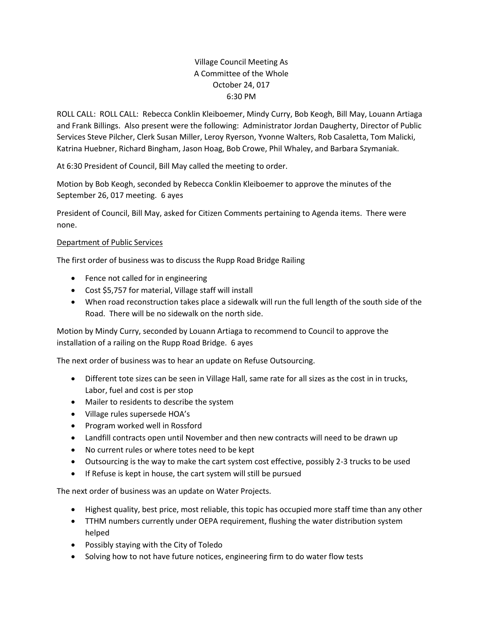# Village Council Meeting As A Committee of the Whole October 24, 017 6:30 PM

ROLL CALL: ROLL CALL: Rebecca Conklin Kleiboemer, Mindy Curry, Bob Keogh, Bill May, Louann Artiaga and Frank Billings. Also present were the following: Administrator Jordan Daugherty, Director of Public Services Steve Pilcher, Clerk Susan Miller, Leroy Ryerson, Yvonne Walters, Rob Casaletta, Tom Malicki, Katrina Huebner, Richard Bingham, Jason Hoag, Bob Crowe, Phil Whaley, and Barbara Szymaniak.

At 6:30 President of Council, Bill May called the meeting to order.

Motion by Bob Keogh, seconded by Rebecca Conklin Kleiboemer to approve the minutes of the September 26, 017 meeting. 6 ayes

President of Council, Bill May, asked for Citizen Comments pertaining to Agenda items. There were none.

# Department of Public Services

The first order of business was to discuss the Rupp Road Bridge Railing

- Fence not called for in engineering
- Cost \$5,757 for material, Village staff will install
- When road reconstruction takes place a sidewalk will run the full length of the south side of the Road. There will be no sidewalk on the north side.

Motion by Mindy Curry, seconded by Louann Artiaga to recommend to Council to approve the installation of a railing on the Rupp Road Bridge. 6 ayes

The next order of business was to hear an update on Refuse Outsourcing.

- Different tote sizes can be seen in Village Hall, same rate for all sizes as the cost in in trucks, Labor, fuel and cost is per stop
- Mailer to residents to describe the system
- Village rules supersede HOA's
- Program worked well in Rossford
- Landfill contracts open until November and then new contracts will need to be drawn up
- No current rules or where totes need to be kept
- Outsourcing is the way to make the cart system cost effective, possibly 2-3 trucks to be used
- If Refuse is kept in house, the cart system will still be pursued

The next order of business was an update on Water Projects.

- Highest quality, best price, most reliable, this topic has occupied more staff time than any other
- TTHM numbers currently under OEPA requirement, flushing the water distribution system helped
- Possibly staying with the City of Toledo
- Solving how to not have future notices, engineering firm to do water flow tests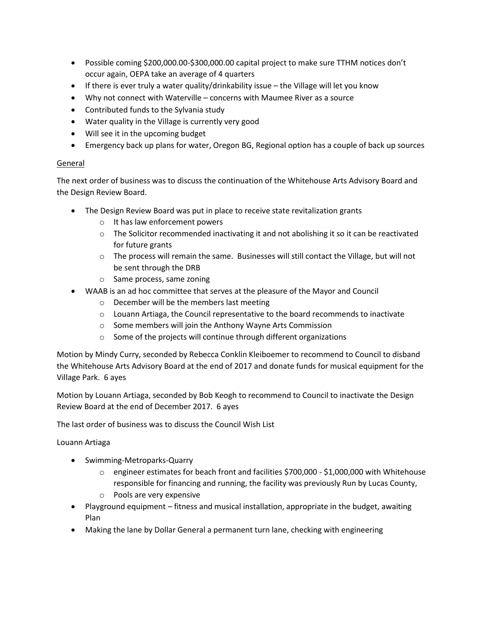- Possible coming \$200,000.00-\$300,000.00 capital project to make sure TTHM notices don't occur again, OEPA take an average of 4 quarters
- If there is ever truly a water quality/drinkability issue the Village will let you know
- Why not connect with Waterville concerns with Maumee River as a source
- Contributed funds to the Sylvania study
- Water quality in the Village is currently very good
- Will see it in the upcoming budget
- Emergency back up plans for water, Oregon BG, Regional option has a couple of back up sources

# General

The next order of business was to discuss the continuation of the Whitehouse Arts Advisory Board and the Design Review Board.

- The Design Review Board was put in place to receive state revitalization grants
	- o It has law enforcement powers
	- $\circ$  The Solicitor recommended inactivating it and not abolishing it so it can be reactivated for future grants
	- $\circ$  The process will remain the same. Businesses will still contact the Village, but will not be sent through the DRB
	- o Same process, same zoning
- WAAB is an ad hoc committee that serves at the pleasure of the Mayor and Council
	- o December will be the members last meeting
	- $\circ$  Louann Artiaga, the Council representative to the board recommends to inactivate
	- o Some members will join the Anthony Wayne Arts Commission
	- o Some of the projects will continue through different organizations

Motion by Mindy Curry, seconded by Rebecca Conklin Kleiboemer to recommend to Council to disband the Whitehouse Arts Advisory Board at the end of 2017 and donate funds for musical equipment for the Village Park. 6 ayes

Motion by Louann Artiaga, seconded by Bob Keogh to recommend to Council to inactivate the Design Review Board at the end of December 2017. 6 ayes

The last order of business was to discuss the Council Wish List

#### Louann Artiaga

- Swimming-Metroparks-Quarry
	- o engineer estimates for beach front and facilities \$700,000 \$1,000,000 with Whitehouse responsible for financing and running, the facility was previously Run by Lucas County,
	- o Pools are very expensive
- Playground equipment fitness and musical installation, appropriate in the budget, awaiting Plan
- Making the lane by Dollar General a permanent turn lane, checking with engineering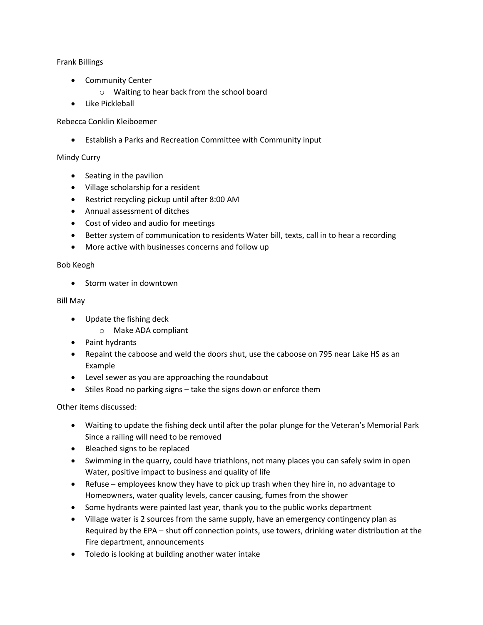## Frank Billings

- Community Center
	- o Waiting to hear back from the school board
- Like Pickleball

## Rebecca Conklin Kleiboemer

Establish a Parks and Recreation Committee with Community input

#### Mindy Curry

- Seating in the pavilion
- Village scholarship for a resident
- Restrict recycling pickup until after 8:00 AM
- Annual assessment of ditches
- Cost of video and audio for meetings
- Better system of communication to residents Water bill, texts, call in to hear a recording
- More active with businesses concerns and follow up

#### Bob Keogh

• Storm water in downtown

#### Bill May

- Update the fishing deck
	- o Make ADA compliant
- Paint hydrants
- Repaint the caboose and weld the doors shut, use the caboose on 795 near Lake HS as an Example
- Level sewer as you are approaching the roundabout
- Stiles Road no parking signs take the signs down or enforce them

Other items discussed:

- Waiting to update the fishing deck until after the polar plunge for the Veteran's Memorial Park Since a railing will need to be removed
- Bleached signs to be replaced
- Swimming in the quarry, could have triathlons, not many places you can safely swim in open Water, positive impact to business and quality of life
- Refuse employees know they have to pick up trash when they hire in, no advantage to Homeowners, water quality levels, cancer causing, fumes from the shower
- Some hydrants were painted last year, thank you to the public works department
- Village water is 2 sources from the same supply, have an emergency contingency plan as Required by the EPA – shut off connection points, use towers, drinking water distribution at the Fire department, announcements
- Toledo is looking at building another water intake